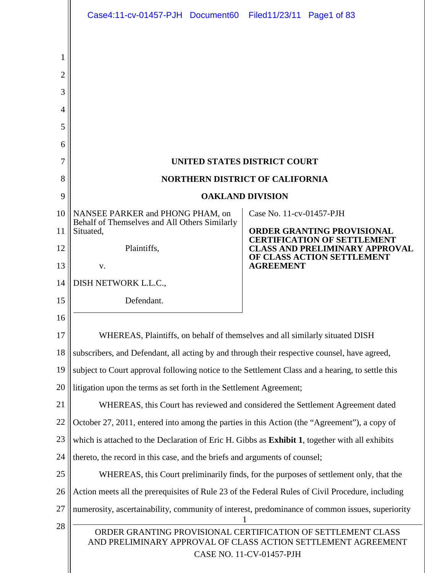|                               | Case4:11-cv-01457-PJH Document60 Filed11/23/11 Page1 of 83                                                                                                |                              |                                                                                                                  |  |  |  |  |
|-------------------------------|-----------------------------------------------------------------------------------------------------------------------------------------------------------|------------------------------|------------------------------------------------------------------------------------------------------------------|--|--|--|--|
| $\overline{2}$<br>3<br>4<br>5 |                                                                                                                                                           |                              |                                                                                                                  |  |  |  |  |
| 6                             |                                                                                                                                                           |                              |                                                                                                                  |  |  |  |  |
| 7                             |                                                                                                                                                           | UNITED STATES DISTRICT COURT |                                                                                                                  |  |  |  |  |
| 8                             | <b>NORTHERN DISTRICT OF CALIFORNIA</b>                                                                                                                    |                              |                                                                                                                  |  |  |  |  |
| 9                             |                                                                                                                                                           | <b>OAKLAND DIVISION</b>      |                                                                                                                  |  |  |  |  |
| 10                            | NANSEE PARKER and PHONG PHAM, on<br>Behalf of Themselves and All Others Similarly                                                                         | Case No. 11-cv-01457-PJH     |                                                                                                                  |  |  |  |  |
| 11<br>12                      | Situated,<br>Plaintiffs,                                                                                                                                  |                              | <b>ORDER GRANTING PROVISIONAL</b><br><b>CERTIFICATION OF SETTLEMENT</b><br><b>CLASS AND PRELIMINARY APPROVAL</b> |  |  |  |  |
| 13                            | V.                                                                                                                                                        | <b>AGREEMENT</b>             | OF CLASS ACTION SETTLEMENT                                                                                       |  |  |  |  |
| 14                            | DISH NETWORK L.L.C.,                                                                                                                                      |                              |                                                                                                                  |  |  |  |  |
| 15                            | Defendant.                                                                                                                                                |                              |                                                                                                                  |  |  |  |  |
| 16                            |                                                                                                                                                           |                              |                                                                                                                  |  |  |  |  |
| 17                            | WHEREAS, Plaintiffs, on behalf of themselves and all similarly situated DISH                                                                              |                              |                                                                                                                  |  |  |  |  |
| 18                            | subscribers, and Defendant, all acting by and through their respective counsel, have agreed,                                                              |                              |                                                                                                                  |  |  |  |  |
| 19                            | subject to Court approval following notice to the Settlement Class and a hearing, to settle this                                                          |                              |                                                                                                                  |  |  |  |  |
| 20                            | litigation upon the terms as set forth in the Settlement Agreement;                                                                                       |                              |                                                                                                                  |  |  |  |  |
| 21                            | WHEREAS, this Court has reviewed and considered the Settlement Agreement dated                                                                            |                              |                                                                                                                  |  |  |  |  |
| 22                            | October 27, 2011, entered into among the parties in this Action (the "Agreement"), a copy of                                                              |                              |                                                                                                                  |  |  |  |  |
| 23                            | which is attached to the Declaration of Eric H. Gibbs as Exhibit 1, together with all exhibits                                                            |                              |                                                                                                                  |  |  |  |  |
| 24                            | thereto, the record in this case, and the briefs and arguments of counsel;                                                                                |                              |                                                                                                                  |  |  |  |  |
| 25                            | WHEREAS, this Court preliminarily finds, for the purposes of settlement only, that the                                                                    |                              |                                                                                                                  |  |  |  |  |
| 26                            | Action meets all the prerequisites of Rule 23 of the Federal Rules of Civil Procedure, including                                                          |                              |                                                                                                                  |  |  |  |  |
| 27                            | numerosity, ascertainability, community of interest, predominance of common issues, superiority                                                           |                              |                                                                                                                  |  |  |  |  |
| 28                            | ORDER GRANTING PROVISIONAL CERTIFICATION OF SETTLEMENT CLASS<br>AND PRELIMINARY APPROVAL OF CLASS ACTION SETTLEMENT AGREEMENT<br>CASE NO. 11-CV-01457-PJH |                              |                                                                                                                  |  |  |  |  |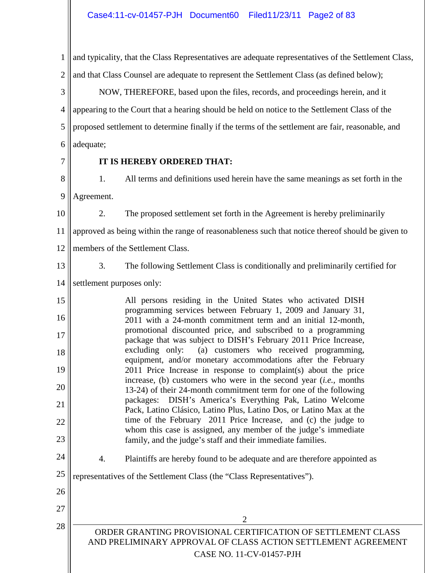1 2 and typicality, that the Class Representatives are adequate representatives of the Settlement Class, and that Class Counsel are adequate to represent the Settlement Class (as defined below);

3 4 5 6 NOW, THEREFORE, based upon the files, records, and proceedings herein, and it appearing to the Court that a hearing should be held on notice to the Settlement Class of the proposed settlement to determine finally if the terms of the settlement are fair, reasonable, and adequate;

7

## **IT IS HEREBY ORDERED THAT:**

8 9 1. All terms and definitions used herein have the same meanings as set forth in the Agreement.

10

2. The proposed settlement set forth in the Agreement is hereby preliminarily

11 approved as being within the range of reasonableness such that notice thereof should be given to

- 12 members of the Settlement Class.
- 13

3. The following Settlement Class is conditionally and preliminarily certified for

14 settlement purposes only:

15 16 17 18 19 20 21 22 23 All persons residing in the United States who activated DISH programming services between February 1, 2009 and January 31, 2011 with a 24-month commitment term and an initial 12-month, promotional discounted price, and subscribed to a programming package that was subject to DISH's February 2011 Price Increase, excluding only: (a) customers who received programming, equipment, and/or monetary accommodations after the February 2011 Price Increase in response to complaint(s) about the price increase, (b) customers who were in the second year (*i.e.,* months 13-24) of their 24-month commitment term for one of the following packages: DISH's America's Everything Pak, Latino Welcome Pack, Latino Clásico, Latino Plus, Latino Dos, or Latino Max at the time of the February 2011 Price Increase, and (c) the judge to whom this case is assigned, any member of the judge's immediate family, and the judge's staff and their immediate families.

24 4. Plaintiffs are hereby found to be adequate and are therefore appointed as

25 representatives of the Settlement Class (the "Class Representatives").

- 26
- 27

28

2

ORDER GRANTING PROVISIONAL CERTIFICATION OF SETTLEMENT CLASS AND PRELIMINARY APPROVAL OF CLASS ACTION SETTLEMENT AGREEMENT CASE NO. 11-CV-01457-PJH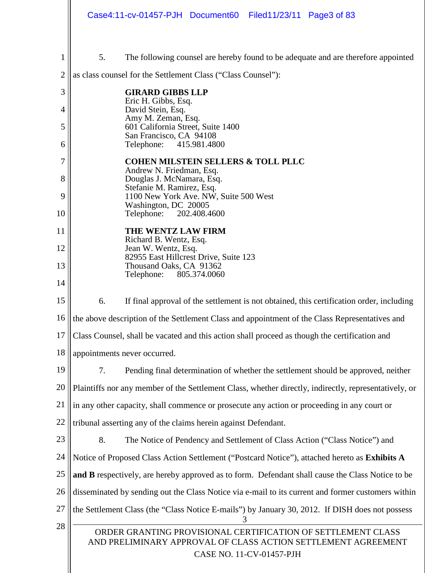|                | Case4:11-cv-01457-PJH Document60 Filed11/23/11 Page3 of 83                                                                                                |  |  |  |  |
|----------------|-----------------------------------------------------------------------------------------------------------------------------------------------------------|--|--|--|--|
|                |                                                                                                                                                           |  |  |  |  |
| 1              | 5.<br>The following counsel are hereby found to be adequate and are therefore appointed                                                                   |  |  |  |  |
| $\overline{2}$ | as class counsel for the Settlement Class ("Class Counsel"):                                                                                              |  |  |  |  |
| 3              | <b>GIRARD GIBBS LLP</b><br>Eric H. Gibbs, Esq.                                                                                                            |  |  |  |  |
| 4              | David Stein, Esq.<br>Amy M. Zeman, Esq.                                                                                                                   |  |  |  |  |
| 5              | 601 California Street, Suite 1400<br>San Francisco, CA 94108                                                                                              |  |  |  |  |
| 6              | Telephone: 415.981.4800                                                                                                                                   |  |  |  |  |
| 7              | <b>COHEN MILSTEIN SELLERS &amp; TOLL PLLC</b><br>Andrew N. Friedman, Esq.                                                                                 |  |  |  |  |
| 8              | Douglas J. McNamara, Esq.<br>Stefanie M. Ramirez, Esq.                                                                                                    |  |  |  |  |
| 9              | 1100 New York Ave. NW, Suite 500 West<br>Washington, DC 20005                                                                                             |  |  |  |  |
| 10             | Telephone:<br>202.408.4600                                                                                                                                |  |  |  |  |
| 11             | THE WENTZ LAW FIRM<br>Richard B. Wentz, Esq.                                                                                                              |  |  |  |  |
| 12             | Jean W. Wentz, Esq.<br>82955 East Hillcrest Drive, Suite 123                                                                                              |  |  |  |  |
| 13             | Thousand Oaks, CA 91362<br>Telephone:<br>805.374.0060                                                                                                     |  |  |  |  |
| 14             |                                                                                                                                                           |  |  |  |  |
| 15             | 6.<br>If final approval of the settlement is not obtained, this certification order, including                                                            |  |  |  |  |
| 16             | the above description of the Settlement Class and appointment of the Class Representatives and                                                            |  |  |  |  |
| 17             | Class Counsel, shall be vacated and this action shall proceed as though the certification and                                                             |  |  |  |  |
| 18             | appointments never occurred.                                                                                                                              |  |  |  |  |
| 19             | Pending final determination of whether the settlement should be approved, neither<br>7.                                                                   |  |  |  |  |
| 20             | Plaintiffs nor any member of the Settlement Class, whether directly, indirectly, representatively, or                                                     |  |  |  |  |
| 21             | in any other capacity, shall commence or prosecute any action or proceeding in any court or                                                               |  |  |  |  |
| 22             | tribunal asserting any of the claims herein against Defendant.                                                                                            |  |  |  |  |
| 23             | 8.<br>The Notice of Pendency and Settlement of Class Action ("Class Notice") and                                                                          |  |  |  |  |
| 24             | Notice of Proposed Class Action Settlement ("Postcard Notice"), attached hereto as Exhibits A                                                             |  |  |  |  |
| 25             | and B respectively, are hereby approved as to form. Defendant shall cause the Class Notice to be                                                          |  |  |  |  |
| 26             | disseminated by sending out the Class Notice via e-mail to its current and former customers within                                                        |  |  |  |  |
| 27             | the Settlement Class (the "Class Notice E-mails") by January 30, 2012. If DISH does not possess                                                           |  |  |  |  |
| 28             | ORDER GRANTING PROVISIONAL CERTIFICATION OF SETTLEMENT CLASS<br>AND PRELIMINARY APPROVAL OF CLASS ACTION SETTLEMENT AGREEMENT<br>CASE NO. 11-CV-01457-PJH |  |  |  |  |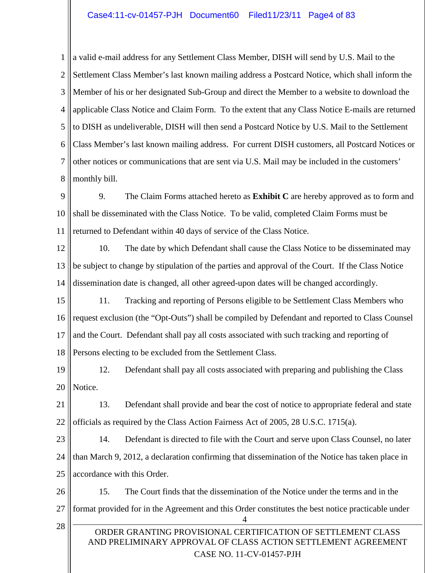1 2 3 4 5 6 7 8 a valid e-mail address for any Settlement Class Member, DISH will send by U.S. Mail to the Settlement Class Member's last known mailing address a Postcard Notice, which shall inform the Member of his or her designated Sub-Group and direct the Member to a website to download the applicable Class Notice and Claim Form. To the extent that any Class Notice E-mails are returned to DISH as undeliverable, DISH will then send a Postcard Notice by U.S. Mail to the Settlement Class Member's last known mailing address. For current DISH customers, all Postcard Notices or other notices or communications that are sent via U.S. Mail may be included in the customers' monthly bill.

9 10 11 9. The Claim Forms attached hereto as **Exhibit C** are hereby approved as to form and shall be disseminated with the Class Notice. To be valid, completed Claim Forms must be returned to Defendant within 40 days of service of the Class Notice.

12 13 14 10. The date by which Defendant shall cause the Class Notice to be disseminated may be subject to change by stipulation of the parties and approval of the Court. If the Class Notice dissemination date is changed, all other agreed-upon dates will be changed accordingly.

15 16 17 18 11. Tracking and reporting of Persons eligible to be Settlement Class Members who request exclusion (the "Opt-Outs") shall be compiled by Defendant and reported to Class Counsel and the Court. Defendant shall pay all costs associated with such tracking and reporting of Persons electing to be excluded from the Settlement Class.

19 20 12. Defendant shall pay all costs associated with preparing and publishing the Class Notice.

21 22 13. Defendant shall provide and bear the cost of notice to appropriate federal and state officials as required by the Class Action Fairness Act of 2005, 28 U.S.C. 1715(a).

23 24 25 14. Defendant is directed to file with the Court and serve upon Class Counsel, no later than March 9, 2012, a declaration confirming that dissemination of the Notice has taken place in accordance with this Order.

26 27 28 4 15. The Court finds that the dissemination of the Notice under the terms and in the format provided for in the Agreement and this Order constitutes the best notice practicable under

## ORDER GRANTING PROVISIONAL CERTIFICATION OF SETTLEMENT CLASS AND PRELIMINARY APPROVAL OF CLASS ACTION SETTLEMENT AGREEMENT CASE NO. 11-CV-01457-PJH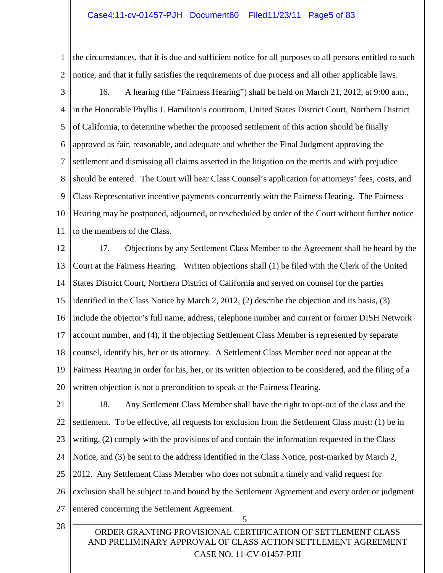1 2 the circumstances, that it is due and sufficient notice for all purposes to all persons entitled to such notice, and that it fully satisfies the requirements of due process and all other applicable laws.

3

4 5 6 7 8 9 10 11 16. A hearing (the "Fairness Hearing") shall be held on March 21, 2012, at 9:00 a.m., in the Honorable Phyllis J. Hamilton's courtroom, United States District Court, Northern District of California, to determine whether the proposed settlement of this action should be finally approved as fair, reasonable, and adequate and whether the Final Judgment approving the settlement and dismissing all claims asserted in the litigation on the merits and with prejudice should be entered. The Court will hear Class Counsel's application for attorneys' fees, costs, and Class Representative incentive payments concurrently with the Fairness Hearing. The Fairness Hearing may be postponed, adjourned, or rescheduled by order of the Court without further notice to the members of the Class.

12 13 14 15 16 17 18 19 20 17. Objections by any Settlement Class Member to the Agreement shall be heard by the Court at the Fairness Hearing. Written objections shall (1) be filed with the Clerk of the United States District Court, Northern District of California and served on counsel for the parties identified in the Class Notice by March 2, 2012, (2) describe the objection and its basis, (3) include the objector's full name, address, telephone number and current or former DISH Network account number, and (4), if the objecting Settlement Class Member is represented by separate counsel, identify his, her or its attorney. A Settlement Class Member need not appear at the Fairness Hearing in order for his, her, or its written objection to be considered, and the filing of a written objection is not a precondition to speak at the Fairness Hearing.

21 22 23 24 25 26 27 18. Any Settlement Class Member shall have the right to opt-out of the class and the settlement. To be effective, all requests for exclusion from the Settlement Class must: (1) be in writing, (2) comply with the provisions of and contain the information requested in the Class Notice, and (3) be sent to the address identified in the Class Notice, post-marked by March 2, 2012. Any Settlement Class Member who does not submit a timely and valid request for exclusion shall be subject to and bound by the Settlement Agreement and every order or judgment entered concerning the Settlement Agreement.

28

5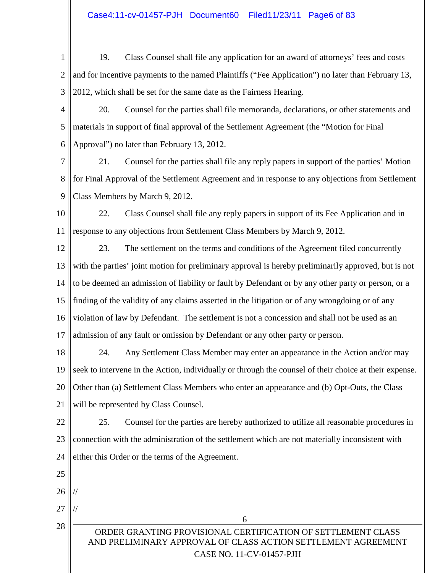- 1 2 3 19. Class Counsel shall file any application for an award of attorneys' fees and costs and for incentive payments to the named Plaintiffs ("Fee Application") no later than February 13, 2012, which shall be set for the same date as the Fairness Hearing.
- 4 5 6 20. Counsel for the parties shall file memoranda, declarations, or other statements and materials in support of final approval of the Settlement Agreement (the "Motion for Final Approval") no later than February 13, 2012.

7 8 9 21. Counsel for the parties shall file any reply papers in support of the parties' Motion for Final Approval of the Settlement Agreement and in response to any objections from Settlement Class Members by March 9, 2012.

10 11 22. Class Counsel shall file any reply papers in support of its Fee Application and in response to any objections from Settlement Class Members by March 9, 2012.

12 13 14 15 16 17 23. The settlement on the terms and conditions of the Agreement filed concurrently with the parties' joint motion for preliminary approval is hereby preliminarily approved, but is not to be deemed an admission of liability or fault by Defendant or by any other party or person, or a finding of the validity of any claims asserted in the litigation or of any wrongdoing or of any violation of law by Defendant. The settlement is not a concession and shall not be used as an admission of any fault or omission by Defendant or any other party or person.

18 19 20 21 24. Any Settlement Class Member may enter an appearance in the Action and/or may seek to intervene in the Action, individually or through the counsel of their choice at their expense. Other than (a) Settlement Class Members who enter an appearance and (b) Opt-Outs, the Class will be represented by Class Counsel.

22 23 24 25. Counsel for the parties are hereby authorized to utilize all reasonable procedures in connection with the administration of the settlement which are not materially inconsistent with either this Order or the terms of the Agreement.

- 25
- 26 //
- 27 //

28

ORDER GRANTING PROVISIONAL CERTIFICATION OF SETTLEMENT CLASS AND PRELIMINARY APPROVAL OF CLASS ACTION SETTLEMENT AGREEMENT CASE NO. 11-CV-01457-PJH

6